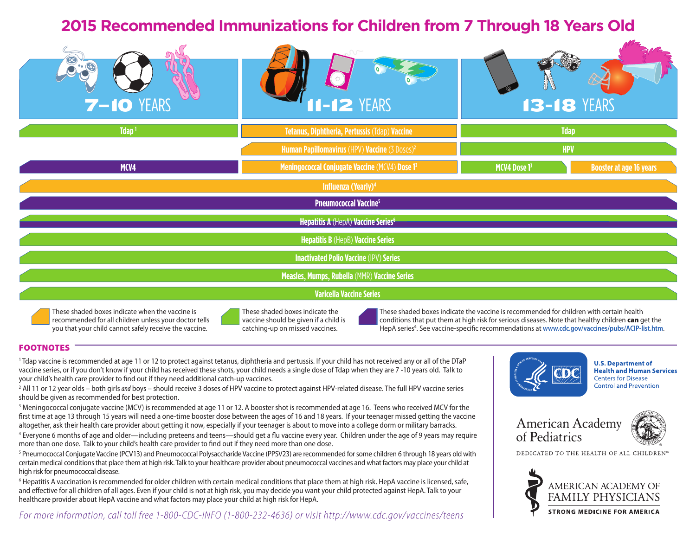# **2015 Recommended Immunizations for Children from 7 Through 18 Years Old**

| $\overline{\mathcal{P}^{\cdot\cdot}}$<br>$7 - 10$ YEARS | <b>11-12 YEARS</b>                                         | <b>13-18 YEARS</b>                             |
|---------------------------------------------------------|------------------------------------------------------------|------------------------------------------------|
| T <b>day</b> <sup>1</sup>                               | Tetanus, Diphtheria, Pertussis (Tdap) Vaccine              | <b>Tdap</b>                                    |
|                                                         | Human Papillomavirus (HPV) Vaccine (3 Doses) <sup>2</sup>  | <b>HPV</b>                                     |
| MCV4                                                    | Meningococcal Conjugate Vaccine (MCV4) Dose 1 <sup>3</sup> | <b>Booster at age 16 years</b><br>MCV4 Dose 13 |
| <b>Influenza (Yearly)</b> <sup>4</sup>                  |                                                            |                                                |
| <b>Pneumococcal Vaccine<sup>5</sup></b>                 |                                                            |                                                |
| Hepatitis A (HepA) Vaccine Series <sup>6</sup>          |                                                            |                                                |
| <b>Hepatitis B (HepB) Vaccine Series</b>                |                                                            |                                                |
| <b>Inactivated Polio Vaccine (IPV) Series</b>           |                                                            |                                                |
| Measles, Mumps, Rubella (MMR) Vaccine Series            |                                                            |                                                |
| <b>Varicella Vaccine Series</b>                         |                                                            |                                                |

These shaded boxes indicate when the vaccine is recommended for all children unless your doctor tells you that your child cannot safely receive the vaccine.



These shaded boxes indicate the vaccine is recommended for children with certain health conditions that put them at high risk for serious diseases. Note that healthy children can get the HepA series<sup>6</sup>. See vaccine-specific recommendations at [www.cdc.gov/vaccines/pubs/ACIP-list.htm](http://www.cdc.gov/vaccines/pubs/ACIP-list.htm).

## FOOTNOTES

1 Tdap vaccine is recommended at age 11 or 12 to protect against tetanus, diphtheria and pertussis. If your child has not received any or all of the DTaP vaccine series, or if you don't know if your child has received these shots, your child needs a single dose of Tdap when they are 7 -10 years old. Talk to your child's health care provider to find out if they need additional catch-up vaccines.

2 All 11 or 12 year olds – both girls *and* boys – should receive 3 doses of HPV vaccine to protect against HPV-related disease. The full HPV vaccine series should be given as recommended for best protection.

 $^3$  Meningococcal conjugate vaccine (MCV) is recommended at age 11 or 12. A booster shot is recommended at age 16. Teens who received MCV for the  $\,$ first time at age 13 through 15 years will need a one-time booster dose between the ages of 16 and 18 years. If your teenager missed getting the vaccine altogether, ask their health care provider about getting it now, especially if your teenager is about to move into a college dorm or military barracks.

4 Everyone 6 months of age and older—including preteens and teens—should get a flu vaccine every year. Children under the age of 9 years may require more than one dose. Talk to your child's health care provider to find out if they need more than one dose.

<sup>5</sup> Pneumococcal Conjugate Vaccine (PCV13) and Pneumococcal Polysaccharide Vaccine (PPSV23) are recommended for some children 6 through 18 years old with certain medical conditions that place them at high risk. Talk to your healthcare provider about pneumococcal vaccines and what factors may place your child at high risk for pneumococcal disease.

<sup>6</sup> Hepatitis A vaccination is recommended for older children with certain medical conditions that place them at high risk. HepA vaccine is licensed, safe, and effective for all children of all ages. Even if your child is not at high risk, you may decide you want your child protected against HepA. Talk to your healthcare provider about HepA vaccine and what factors may place your child at high risk for HepA.

*For more information, call toll free 1-800-CDC-INFO (1-800-232-4636) or visit [http://www.cdc.gov/vaccines/teens]( http://www.cdc.gov/vaccines/teens)*



**U.S. Department of Health and Human Services Centers for Disease Control and Prevention** 





DEDICATED TO THE HEALTH OF ALL CHILDREN"